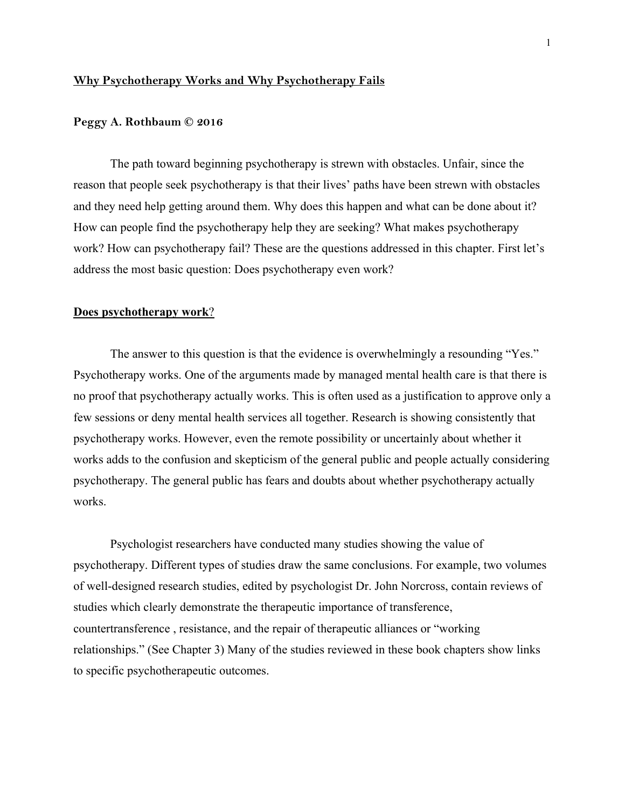### **Why Psychotherapy Works and Why Psychotherapy Fails**

#### **Peggy A. Rothbaum © 2016**

The path toward beginning psychotherapy is strewn with obstacles. Unfair, since the reason that people seek psychotherapy is that their lives' paths have been strewn with obstacles and they need help getting around them. Why does this happen and what can be done about it? How can people find the psychotherapy help they are seeking? What makes psychotherapy work? How can psychotherapy fail? These are the questions addressed in this chapter. First let's address the most basic question: Does psychotherapy even work?

#### **Does psychotherapy work**?

The answer to this question is that the evidence is overwhelmingly a resounding "Yes." Psychotherapy works. One of the arguments made by managed mental health care is that there is no proof that psychotherapy actually works. This is often used as a justification to approve only a few sessions or deny mental health services all together. Research is showing consistently that psychotherapy works. However, even the remote possibility or uncertainly about whether it works adds to the confusion and skepticism of the general public and people actually considering psychotherapy. The general public has fears and doubts about whether psychotherapy actually works.

Psychologist researchers have conducted many studies showing the value of psychotherapy. Different types of studies draw the same conclusions. For example, two volumes of well-designed research studies, edited by psychologist Dr. John Norcross, contain reviews of studies which clearly demonstrate the therapeutic importance of transference, countertransference , resistance, and the repair of therapeutic alliances or "working relationships." (See Chapter 3) Many of the studies reviewed in these book chapters show links to specific psychotherapeutic outcomes.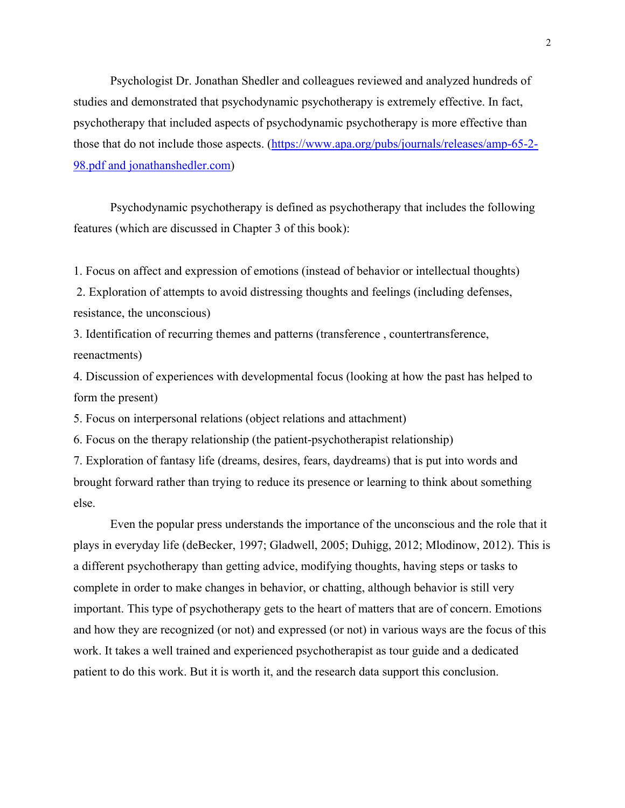Psychologist Dr. Jonathan Shedler and colleagues reviewed and analyzed hundreds of studies and demonstrated that psychodynamic psychotherapy is extremely effective. In fact, psychotherapy that included aspects of psychodynamic psychotherapy is more effective than those that do not include those aspects. (https://www.apa.org/pubs/journals/releases/amp-65-2- 98.pdf and jonathanshedler.com)

Psychodynamic psychotherapy is defined as psychotherapy that includes the following features (which are discussed in Chapter 3 of this book):

1. Focus on affect and expression of emotions (instead of behavior or intellectual thoughts)

 2. Exploration of attempts to avoid distressing thoughts and feelings (including defenses, resistance, the unconscious)

3. Identification of recurring themes and patterns (transference , countertransference, reenactments)

4. Discussion of experiences with developmental focus (looking at how the past has helped to form the present)

5. Focus on interpersonal relations (object relations and attachment)

6. Focus on the therapy relationship (the patient-psychotherapist relationship)

7. Exploration of fantasy life (dreams, desires, fears, daydreams) that is put into words and brought forward rather than trying to reduce its presence or learning to think about something else.

Even the popular press understands the importance of the unconscious and the role that it plays in everyday life (deBecker, 1997; Gladwell, 2005; Duhigg, 2012; Mlodinow, 2012). This is a different psychotherapy than getting advice, modifying thoughts, having steps or tasks to complete in order to make changes in behavior, or chatting, although behavior is still very important. This type of psychotherapy gets to the heart of matters that are of concern. Emotions and how they are recognized (or not) and expressed (or not) in various ways are the focus of this work. It takes a well trained and experienced psychotherapist as tour guide and a dedicated patient to do this work. But it is worth it, and the research data support this conclusion.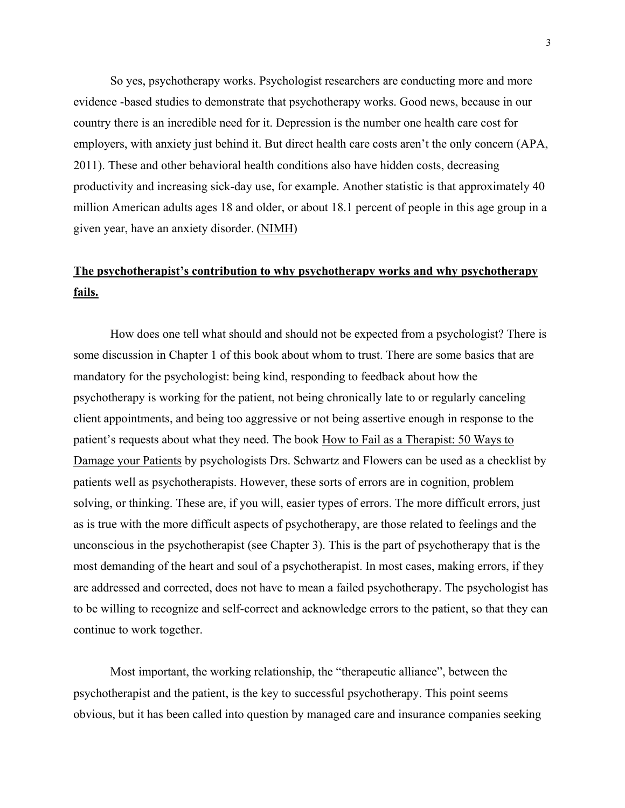So yes, psychotherapy works. Psychologist researchers are conducting more and more evidence -based studies to demonstrate that psychotherapy works. Good news, because in our country there is an incredible need for it. Depression is the number one health care cost for employers, with anxiety just behind it. But direct health care costs aren't the only concern (APA, 2011). These and other behavioral health conditions also have hidden costs, decreasing productivity and increasing sick-day use, for example. Another statistic is that approximately 40 million American adults ages 18 and older, or about 18.1 percent of people in this age group in a given year, have an anxiety disorder. (NIMH)

# **The psychotherapist's contribution to why psychotherapy works and why psychotherapy fails.**

How does one tell what should and should not be expected from a psychologist? There is some discussion in Chapter 1 of this book about whom to trust. There are some basics that are mandatory for the psychologist: being kind, responding to feedback about how the psychotherapy is working for the patient, not being chronically late to or regularly canceling client appointments, and being too aggressive or not being assertive enough in response to the patient's requests about what they need. The book How to Fail as a Therapist: 50 Ways to Damage your Patients by psychologists Drs. Schwartz and Flowers can be used as a checklist by patients well as psychotherapists. However, these sorts of errors are in cognition, problem solving, or thinking. These are, if you will, easier types of errors. The more difficult errors, just as is true with the more difficult aspects of psychotherapy, are those related to feelings and the unconscious in the psychotherapist (see Chapter 3). This is the part of psychotherapy that is the most demanding of the heart and soul of a psychotherapist. In most cases, making errors, if they are addressed and corrected, does not have to mean a failed psychotherapy. The psychologist has to be willing to recognize and self-correct and acknowledge errors to the patient, so that they can continue to work together.

Most important, the working relationship, the "therapeutic alliance", between the psychotherapist and the patient, is the key to successful psychotherapy. This point seems obvious, but it has been called into question by managed care and insurance companies seeking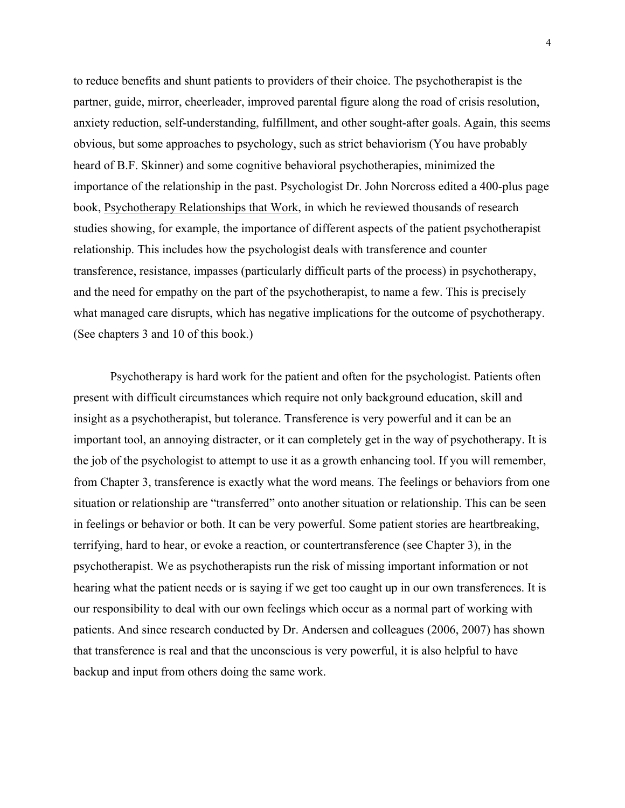to reduce benefits and shunt patients to providers of their choice. The psychotherapist is the partner, guide, mirror, cheerleader, improved parental figure along the road of crisis resolution, anxiety reduction, self-understanding, fulfillment, and other sought-after goals. Again, this seems obvious, but some approaches to psychology, such as strict behaviorism (You have probably heard of B.F. Skinner) and some cognitive behavioral psychotherapies, minimized the importance of the relationship in the past. Psychologist Dr. John Norcross edited a 400-plus page book, Psychotherapy Relationships that Work, in which he reviewed thousands of research studies showing, for example, the importance of different aspects of the patient psychotherapist relationship. This includes how the psychologist deals with transference and counter transference, resistance, impasses (particularly difficult parts of the process) in psychotherapy, and the need for empathy on the part of the psychotherapist, to name a few. This is precisely what managed care disrupts, which has negative implications for the outcome of psychotherapy. (See chapters 3 and 10 of this book.)

Psychotherapy is hard work for the patient and often for the psychologist. Patients often present with difficult circumstances which require not only background education, skill and insight as a psychotherapist, but tolerance. Transference is very powerful and it can be an important tool, an annoying distracter, or it can completely get in the way of psychotherapy. It is the job of the psychologist to attempt to use it as a growth enhancing tool. If you will remember, from Chapter 3, transference is exactly what the word means. The feelings or behaviors from one situation or relationship are "transferred" onto another situation or relationship. This can be seen in feelings or behavior or both. It can be very powerful. Some patient stories are heartbreaking, terrifying, hard to hear, or evoke a reaction, or countertransference (see Chapter 3), in the psychotherapist. We as psychotherapists run the risk of missing important information or not hearing what the patient needs or is saying if we get too caught up in our own transferences. It is our responsibility to deal with our own feelings which occur as a normal part of working with patients. And since research conducted by Dr. Andersen and colleagues (2006, 2007) has shown that transference is real and that the unconscious is very powerful, it is also helpful to have backup and input from others doing the same work.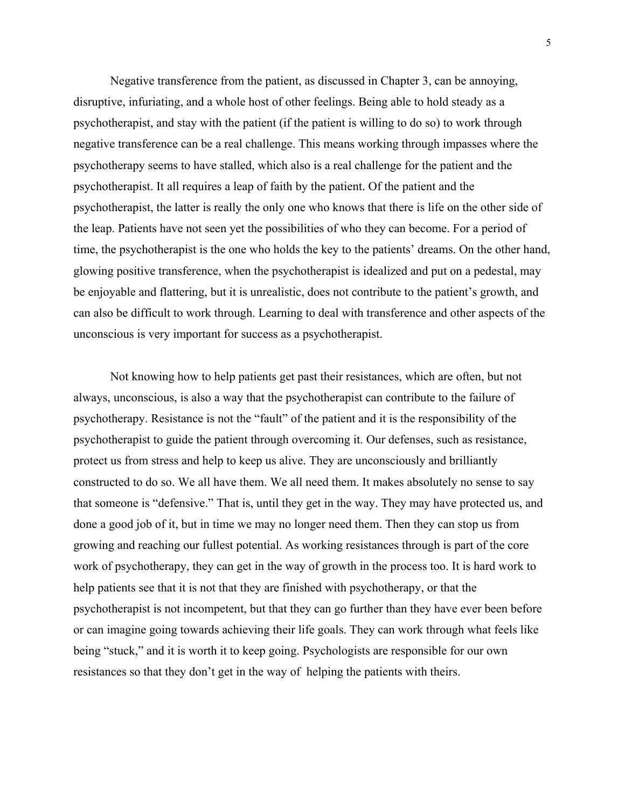Negative transference from the patient, as discussed in Chapter 3, can be annoying, disruptive, infuriating, and a whole host of other feelings. Being able to hold steady as a psychotherapist, and stay with the patient (if the patient is willing to do so) to work through negative transference can be a real challenge. This means working through impasses where the psychotherapy seems to have stalled, which also is a real challenge for the patient and the psychotherapist. It all requires a leap of faith by the patient. Of the patient and the psychotherapist, the latter is really the only one who knows that there is life on the other side of the leap. Patients have not seen yet the possibilities of who they can become. For a period of time, the psychotherapist is the one who holds the key to the patients' dreams. On the other hand, glowing positive transference, when the psychotherapist is idealized and put on a pedestal, may be enjoyable and flattering, but it is unrealistic, does not contribute to the patient's growth, and can also be difficult to work through. Learning to deal with transference and other aspects of the unconscious is very important for success as a psychotherapist.

Not knowing how to help patients get past their resistances, which are often, but not always, unconscious, is also a way that the psychotherapist can contribute to the failure of psychotherapy. Resistance is not the "fault" of the patient and it is the responsibility of the psychotherapist to guide the patient through overcoming it. Our defenses, such as resistance, protect us from stress and help to keep us alive. They are unconsciously and brilliantly constructed to do so. We all have them. We all need them. It makes absolutely no sense to say that someone is "defensive." That is, until they get in the way. They may have protected us, and done a good job of it, but in time we may no longer need them. Then they can stop us from growing and reaching our fullest potential. As working resistances through is part of the core work of psychotherapy, they can get in the way of growth in the process too. It is hard work to help patients see that it is not that they are finished with psychotherapy, or that the psychotherapist is not incompetent, but that they can go further than they have ever been before or can imagine going towards achieving their life goals. They can work through what feels like being "stuck," and it is worth it to keep going. Psychologists are responsible for our own resistances so that they don't get in the way of helping the patients with theirs.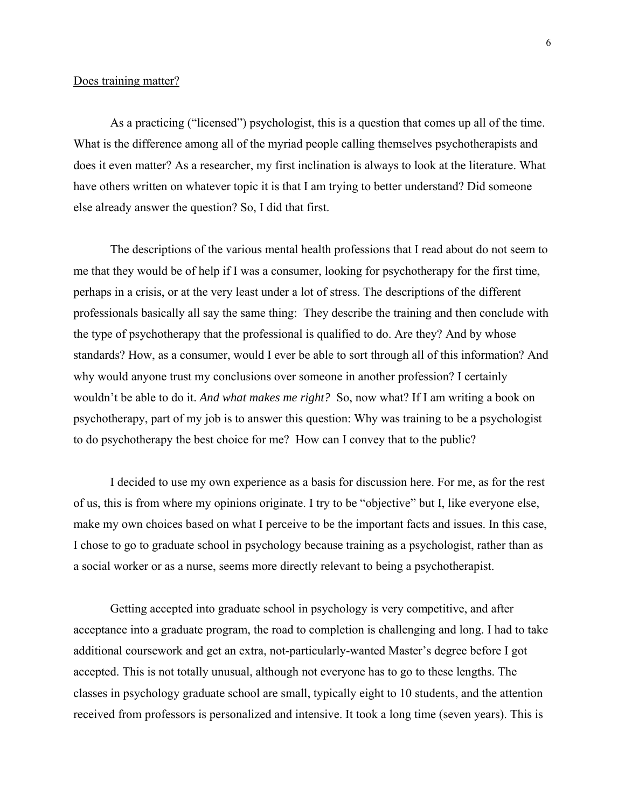### Does training matter?

As a practicing ("licensed") psychologist, this is a question that comes up all of the time. What is the difference among all of the myriad people calling themselves psychotherapists and does it even matter? As a researcher, my first inclination is always to look at the literature. What have others written on whatever topic it is that I am trying to better understand? Did someone else already answer the question? So, I did that first.

The descriptions of the various mental health professions that I read about do not seem to me that they would be of help if I was a consumer, looking for psychotherapy for the first time, perhaps in a crisis, or at the very least under a lot of stress. The descriptions of the different professionals basically all say the same thing: They describe the training and then conclude with the type of psychotherapy that the professional is qualified to do. Are they? And by whose standards? How, as a consumer, would I ever be able to sort through all of this information? And why would anyone trust my conclusions over someone in another profession? I certainly wouldn't be able to do it. *And what makes me right?* So, now what? If I am writing a book on psychotherapy, part of my job is to answer this question: Why was training to be a psychologist to do psychotherapy the best choice for me? How can I convey that to the public?

I decided to use my own experience as a basis for discussion here. For me, as for the rest of us, this is from where my opinions originate. I try to be "objective" but I, like everyone else, make my own choices based on what I perceive to be the important facts and issues. In this case, I chose to go to graduate school in psychology because training as a psychologist, rather than as a social worker or as a nurse, seems more directly relevant to being a psychotherapist.

Getting accepted into graduate school in psychology is very competitive, and after acceptance into a graduate program, the road to completion is challenging and long. I had to take additional coursework and get an extra, not-particularly-wanted Master's degree before I got accepted. This is not totally unusual, although not everyone has to go to these lengths. The classes in psychology graduate school are small, typically eight to 10 students, and the attention received from professors is personalized and intensive. It took a long time (seven years). This is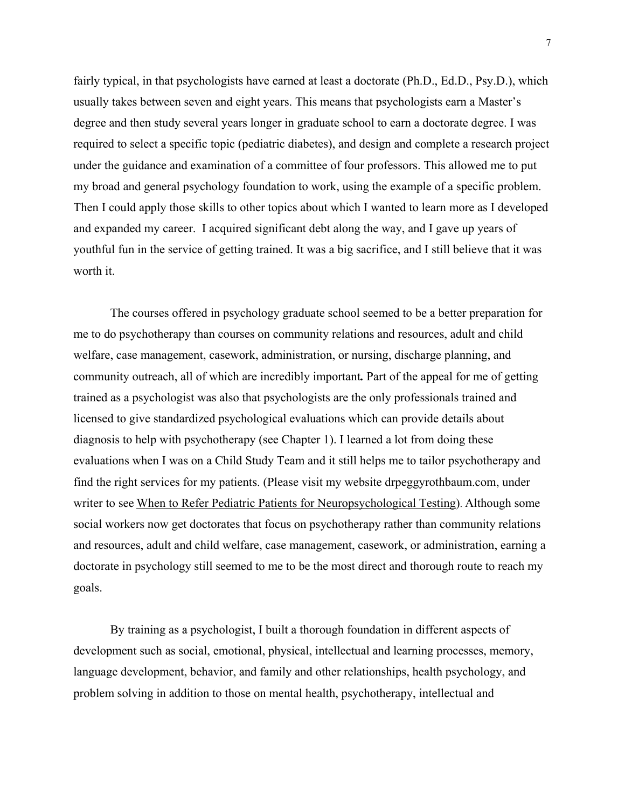fairly typical, in that psychologists have earned at least a doctorate (Ph.D., Ed.D., Psy.D.), which usually takes between seven and eight years. This means that psychologists earn a Master's degree and then study several years longer in graduate school to earn a doctorate degree. I was required to select a specific topic (pediatric diabetes), and design and complete a research project under the guidance and examination of a committee of four professors. This allowed me to put my broad and general psychology foundation to work, using the example of a specific problem. Then I could apply those skills to other topics about which I wanted to learn more as I developed and expanded my career. I acquired significant debt along the way, and I gave up years of youthful fun in the service of getting trained. It was a big sacrifice, and I still believe that it was worth it.

The courses offered in psychology graduate school seemed to be a better preparation for me to do psychotherapy than courses on community relations and resources, adult and child welfare, case management, casework, administration, or nursing, discharge planning, and community outreach, all of which are incredibly important*.* Part of the appeal for me of getting trained as a psychologist was also that psychologists are the only professionals trained and licensed to give standardized psychological evaluations which can provide details about diagnosis to help with psychotherapy (see Chapter 1). I learned a lot from doing these evaluations when I was on a Child Study Team and it still helps me to tailor psychotherapy and find the right services for my patients. (Please visit my website drpeggyrothbaum.com, under writer to see When to Refer Pediatric Patients for Neuropsychological Testing). Although some social workers now get doctorates that focus on psychotherapy rather than community relations and resources, adult and child welfare, case management, casework, or administration, earning a doctorate in psychology still seemed to me to be the most direct and thorough route to reach my goals.

By training as a psychologist, I built a thorough foundation in different aspects of development such as social, emotional, physical, intellectual and learning processes, memory, language development, behavior, and family and other relationships, health psychology, and problem solving in addition to those on mental health, psychotherapy, intellectual and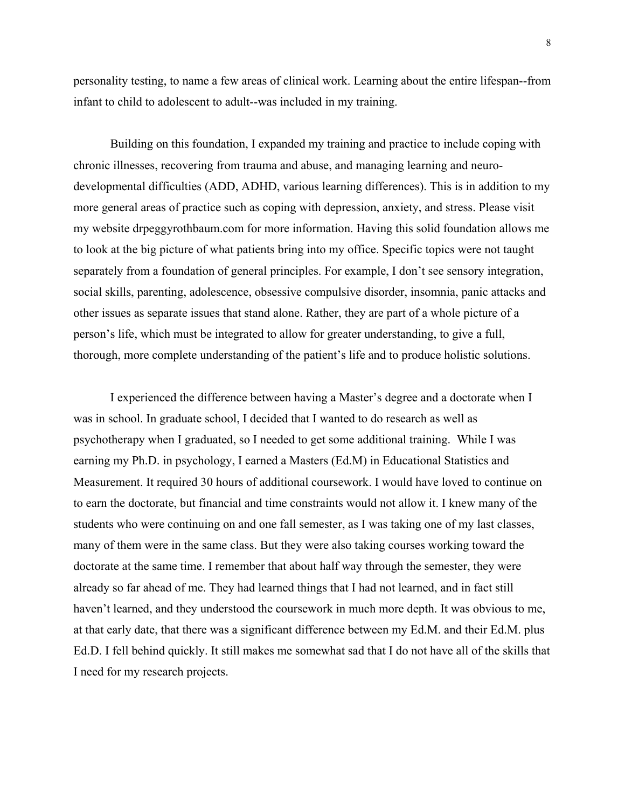personality testing, to name a few areas of clinical work. Learning about the entire lifespan--from infant to child to adolescent to adult--was included in my training.

Building on this foundation, I expanded my training and practice to include coping with chronic illnesses, recovering from trauma and abuse, and managing learning and neurodevelopmental difficulties (ADD, ADHD, various learning differences). This is in addition to my more general areas of practice such as coping with depression, anxiety, and stress. Please visit my website drpeggyrothbaum.com for more information. Having this solid foundation allows me to look at the big picture of what patients bring into my office. Specific topics were not taught separately from a foundation of general principles. For example, I don't see sensory integration, social skills, parenting, adolescence, obsessive compulsive disorder, insomnia, panic attacks and other issues as separate issues that stand alone. Rather, they are part of a whole picture of a person's life, which must be integrated to allow for greater understanding, to give a full, thorough, more complete understanding of the patient's life and to produce holistic solutions.

I experienced the difference between having a Master's degree and a doctorate when I was in school. In graduate school, I decided that I wanted to do research as well as psychotherapy when I graduated, so I needed to get some additional training. While I was earning my Ph.D. in psychology, I earned a Masters (Ed.M) in Educational Statistics and Measurement. It required 30 hours of additional coursework. I would have loved to continue on to earn the doctorate, but financial and time constraints would not allow it. I knew many of the students who were continuing on and one fall semester, as I was taking one of my last classes, many of them were in the same class. But they were also taking courses working toward the doctorate at the same time. I remember that about half way through the semester, they were already so far ahead of me. They had learned things that I had not learned, and in fact still haven't learned, and they understood the coursework in much more depth. It was obvious to me, at that early date, that there was a significant difference between my Ed.M. and their Ed.M. plus Ed.D. I fell behind quickly. It still makes me somewhat sad that I do not have all of the skills that I need for my research projects.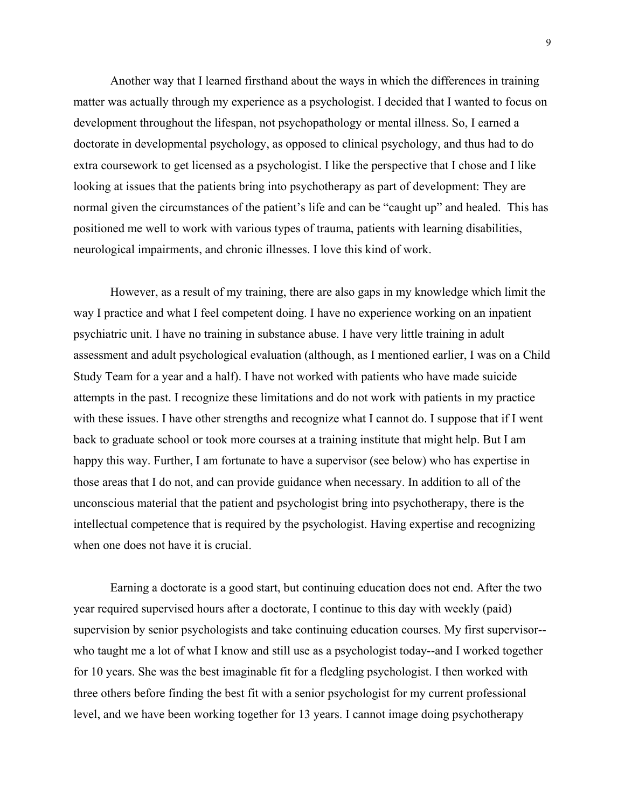Another way that I learned firsthand about the ways in which the differences in training matter was actually through my experience as a psychologist. I decided that I wanted to focus on development throughout the lifespan, not psychopathology or mental illness. So, I earned a doctorate in developmental psychology, as opposed to clinical psychology, and thus had to do extra coursework to get licensed as a psychologist. I like the perspective that I chose and I like looking at issues that the patients bring into psychotherapy as part of development: They are normal given the circumstances of the patient's life and can be "caught up" and healed. This has positioned me well to work with various types of trauma, patients with learning disabilities, neurological impairments, and chronic illnesses. I love this kind of work.

However, as a result of my training, there are also gaps in my knowledge which limit the way I practice and what I feel competent doing. I have no experience working on an inpatient psychiatric unit. I have no training in substance abuse. I have very little training in adult assessment and adult psychological evaluation (although, as I mentioned earlier, I was on a Child Study Team for a year and a half). I have not worked with patients who have made suicide attempts in the past. I recognize these limitations and do not work with patients in my practice with these issues. I have other strengths and recognize what I cannot do. I suppose that if I went back to graduate school or took more courses at a training institute that might help. But I am happy this way. Further, I am fortunate to have a supervisor (see below) who has expertise in those areas that I do not, and can provide guidance when necessary. In addition to all of the unconscious material that the patient and psychologist bring into psychotherapy, there is the intellectual competence that is required by the psychologist. Having expertise and recognizing when one does not have it is crucial.

Earning a doctorate is a good start, but continuing education does not end. After the two year required supervised hours after a doctorate, I continue to this day with weekly (paid) supervision by senior psychologists and take continuing education courses. My first supervisor- who taught me a lot of what I know and still use as a psychologist today--and I worked together for 10 years. She was the best imaginable fit for a fledgling psychologist. I then worked with three others before finding the best fit with a senior psychologist for my current professional level, and we have been working together for 13 years. I cannot image doing psychotherapy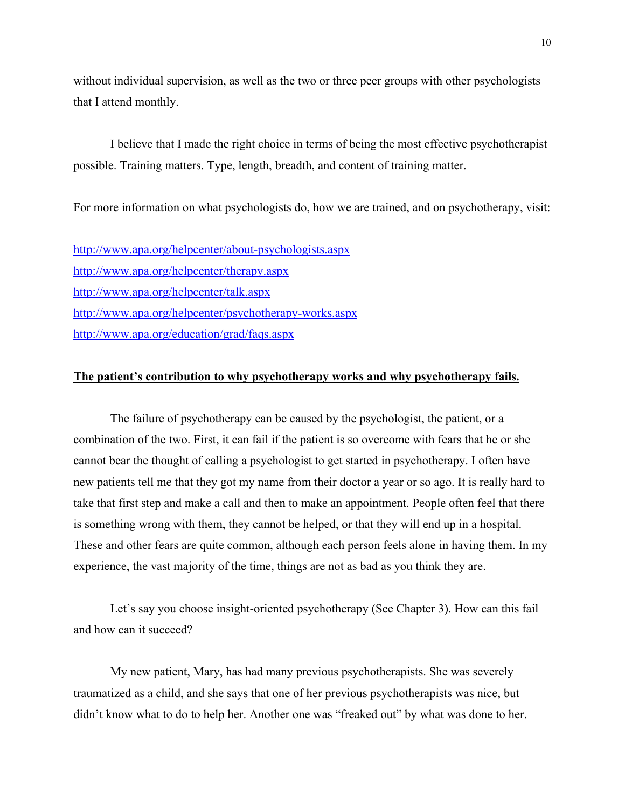without individual supervision, as well as the two or three peer groups with other psychologists that I attend monthly.

I believe that I made the right choice in terms of being the most effective psychotherapist possible. Training matters. Type, length, breadth, and content of training matter.

For more information on what psychologists do, how we are trained, and on psychotherapy, visit:

http://www.apa.org/helpcenter/about-psychologists.aspx http://www.apa.org/helpcenter/therapy.aspx http://www.apa.org/helpcenter/talk.aspx http://www.apa.org/helpcenter/psychotherapy-works.aspx http://www.apa.org/education/grad/faqs.aspx

## **The patient's contribution to why psychotherapy works and why psychotherapy fails.**

The failure of psychotherapy can be caused by the psychologist, the patient, or a combination of the two. First, it can fail if the patient is so overcome with fears that he or she cannot bear the thought of calling a psychologist to get started in psychotherapy. I often have new patients tell me that they got my name from their doctor a year or so ago. It is really hard to take that first step and make a call and then to make an appointment. People often feel that there is something wrong with them, they cannot be helped, or that they will end up in a hospital. These and other fears are quite common, although each person feels alone in having them. In my experience, the vast majority of the time, things are not as bad as you think they are.

Let's say you choose insight-oriented psychotherapy (See Chapter 3). How can this fail and how can it succeed?

My new patient, Mary, has had many previous psychotherapists. She was severely traumatized as a child, and she says that one of her previous psychotherapists was nice, but didn't know what to do to help her. Another one was "freaked out" by what was done to her.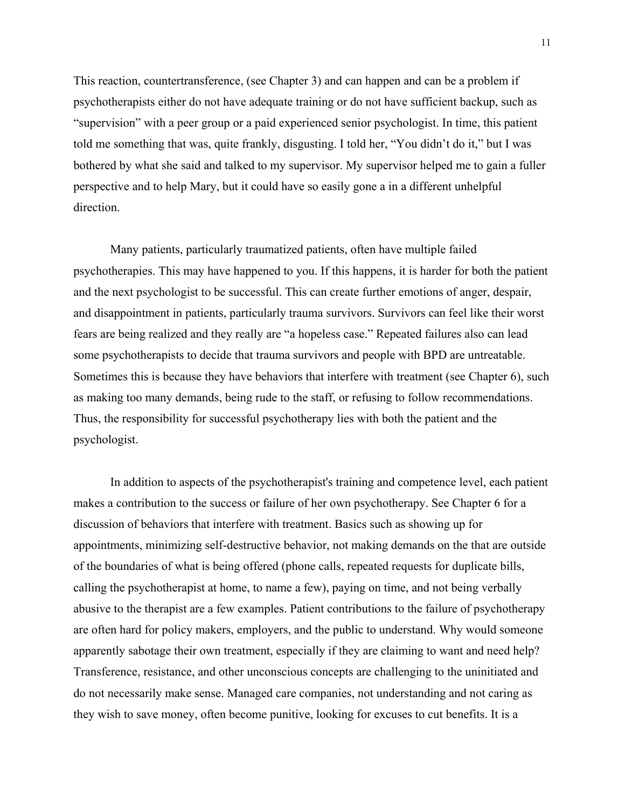This reaction, countertransference, (see Chapter 3) and can happen and can be a problem if psychotherapists either do not have adequate training or do not have sufficient backup, such as "supervision" with a peer group or a paid experienced senior psychologist. In time, this patient told me something that was, quite frankly, disgusting. I told her, "You didn't do it," but I was bothered by what she said and talked to my supervisor. My supervisor helped me to gain a fuller perspective and to help Mary, but it could have so easily gone a in a different unhelpful direction.

Many patients, particularly traumatized patients, often have multiple failed psychotherapies. This may have happened to you. If this happens, it is harder for both the patient and the next psychologist to be successful. This can create further emotions of anger, despair, and disappointment in patients, particularly trauma survivors. Survivors can feel like their worst fears are being realized and they really are "a hopeless case." Repeated failures also can lead some psychotherapists to decide that trauma survivors and people with BPD are untreatable. Sometimes this is because they have behaviors that interfere with treatment (see Chapter 6), such as making too many demands, being rude to the staff, or refusing to follow recommendations. Thus, the responsibility for successful psychotherapy lies with both the patient and the psychologist.

In addition to aspects of the psychotherapist's training and competence level, each patient makes a contribution to the success or failure of her own psychotherapy. See Chapter 6 for a discussion of behaviors that interfere with treatment. Basics such as showing up for appointments, minimizing self-destructive behavior, not making demands on the that are outside of the boundaries of what is being offered (phone calls, repeated requests for duplicate bills, calling the psychotherapist at home, to name a few), paying on time, and not being verbally abusive to the therapist are a few examples. Patient contributions to the failure of psychotherapy are often hard for policy makers, employers, and the public to understand. Why would someone apparently sabotage their own treatment, especially if they are claiming to want and need help? Transference, resistance, and other unconscious concepts are challenging to the uninitiated and do not necessarily make sense. Managed care companies, not understanding and not caring as they wish to save money, often become punitive, looking for excuses to cut benefits. It is a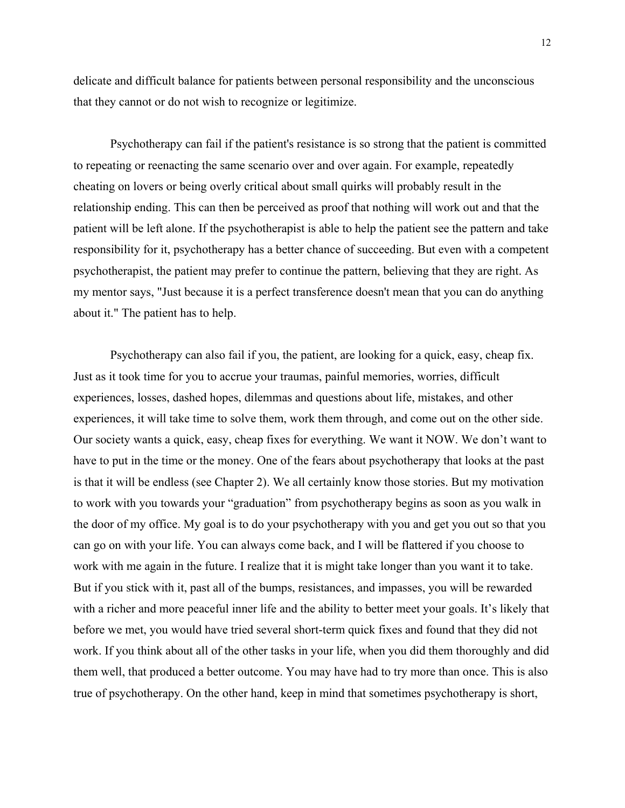delicate and difficult balance for patients between personal responsibility and the unconscious that they cannot or do not wish to recognize or legitimize.

Psychotherapy can fail if the patient's resistance is so strong that the patient is committed to repeating or reenacting the same scenario over and over again. For example, repeatedly cheating on lovers or being overly critical about small quirks will probably result in the relationship ending. This can then be perceived as proof that nothing will work out and that the patient will be left alone. If the psychotherapist is able to help the patient see the pattern and take responsibility for it, psychotherapy has a better chance of succeeding. But even with a competent psychotherapist, the patient may prefer to continue the pattern, believing that they are right. As my mentor says, "Just because it is a perfect transference doesn't mean that you can do anything about it." The patient has to help.

Psychotherapy can also fail if you, the patient, are looking for a quick, easy, cheap fix. Just as it took time for you to accrue your traumas, painful memories, worries, difficult experiences, losses, dashed hopes, dilemmas and questions about life, mistakes, and other experiences, it will take time to solve them, work them through, and come out on the other side. Our society wants a quick, easy, cheap fixes for everything. We want it NOW. We don't want to have to put in the time or the money. One of the fears about psychotherapy that looks at the past is that it will be endless (see Chapter 2). We all certainly know those stories. But my motivation to work with you towards your "graduation" from psychotherapy begins as soon as you walk in the door of my office. My goal is to do your psychotherapy with you and get you out so that you can go on with your life. You can always come back, and I will be flattered if you choose to work with me again in the future. I realize that it is might take longer than you want it to take. But if you stick with it, past all of the bumps, resistances, and impasses, you will be rewarded with a richer and more peaceful inner life and the ability to better meet your goals. It's likely that before we met, you would have tried several short-term quick fixes and found that they did not work. If you think about all of the other tasks in your life, when you did them thoroughly and did them well, that produced a better outcome. You may have had to try more than once. This is also true of psychotherapy. On the other hand, keep in mind that sometimes psychotherapy is short,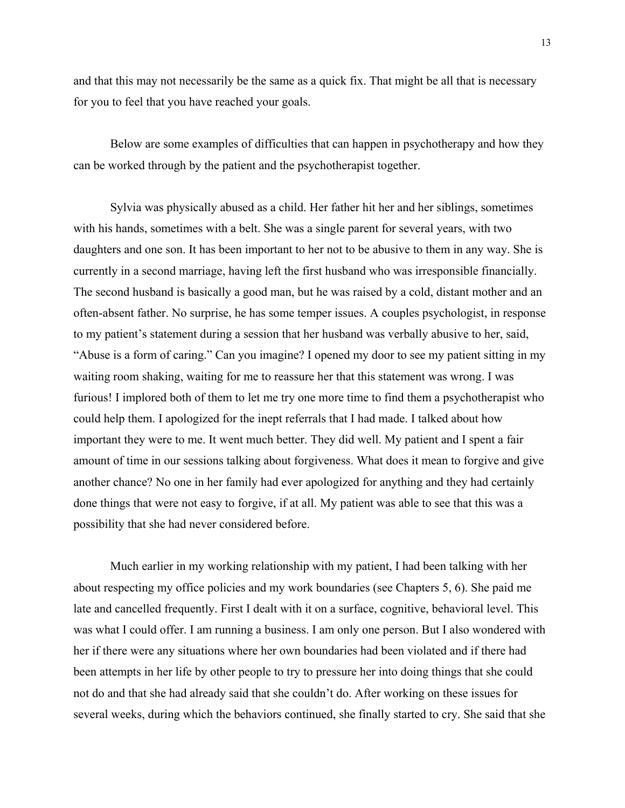and that this may not necessarily be the same as a quick fix. That might be all that is necessary for you to feel that you have reached your goals.

Below are some examples of difficulties that can happen in psychotherapy and how they can be worked through by the patient and the psychotherapist together.

Sylvia was physically abused as a child. Her father hit her and her siblings, sometimes with his hands, sometimes with a belt. She was a single parent for several years, with two daughters and one son. It has been important to her not to be abusive to them in any way. She is currently in a second marriage, having left the first husband who was irresponsible financially. The second husband is basically a good man, but he was raised by a cold, distant mother and an often-absent father. No surprise, he has some temper issues. A couples psychologist, in response to my patient's statement during a session that her husband was verbally abusive to her, said, "Abuse is a form of caring." Can you imagine? I opened my door to see my patient sitting in my waiting room shaking, waiting for me to reassure her that this statement was wrong. I was furious! I implored both of them to let me try one more time to find them a psychotherapist who could help them. I apologized for the inept referrals that I had made. I talked about how important they were to me. It went much better. They did well. My patient and I spent a fair amount of time in our sessions talking about forgiveness. What does it mean to forgive and give another chance? No one in her family had ever apologized for anything and they had certainly done things that were not easy to forgive, if at all. My patient was able to see that this was a possibility that she had never considered before.

Much earlier in my working relationship with my patient, I had been talking with her about respecting my office policies and my work boundaries (see Chapters 5, 6). She paid me late and cancelled frequently. First I dealt with it on a surface, cognitive, behavioral level. This was what I could offer. I am running a business. I am only one person. But I also wondered with her if there were any situations where her own boundaries had been violated and if there had been attempts in her life by other people to try to pressure her into doing things that she could not do and that she had already said that she couldn't do. After working on these issues for several weeks, during which the behaviors continued, she finally started to cry. She said that she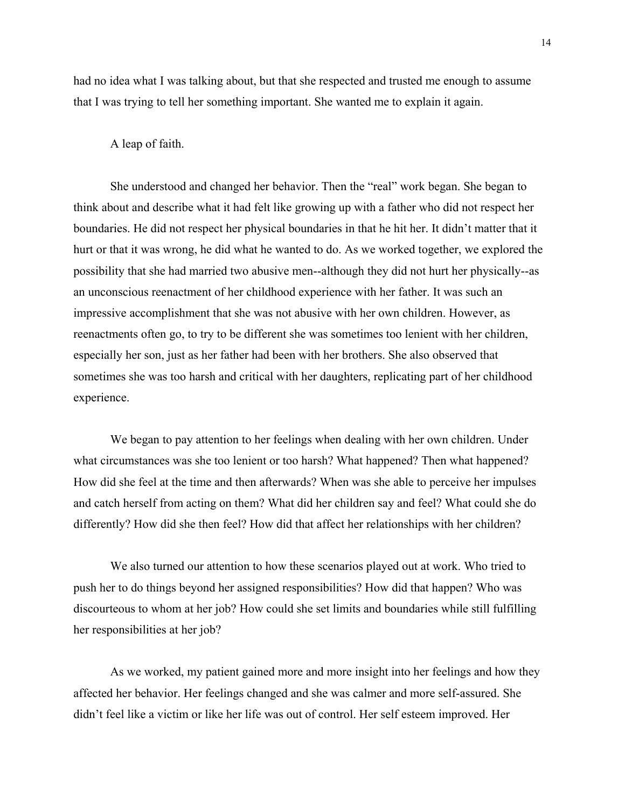had no idea what I was talking about, but that she respected and trusted me enough to assume that I was trying to tell her something important. She wanted me to explain it again.

#### A leap of faith.

She understood and changed her behavior. Then the "real" work began. She began to think about and describe what it had felt like growing up with a father who did not respect her boundaries. He did not respect her physical boundaries in that he hit her. It didn't matter that it hurt or that it was wrong, he did what he wanted to do. As we worked together, we explored the possibility that she had married two abusive men--although they did not hurt her physically--as an unconscious reenactment of her childhood experience with her father. It was such an impressive accomplishment that she was not abusive with her own children. However, as reenactments often go, to try to be different she was sometimes too lenient with her children, especially her son, just as her father had been with her brothers. She also observed that sometimes she was too harsh and critical with her daughters, replicating part of her childhood experience.

We began to pay attention to her feelings when dealing with her own children. Under what circumstances was she too lenient or too harsh? What happened? Then what happened? How did she feel at the time and then afterwards? When was she able to perceive her impulses and catch herself from acting on them? What did her children say and feel? What could she do differently? How did she then feel? How did that affect her relationships with her children?

We also turned our attention to how these scenarios played out at work. Who tried to push her to do things beyond her assigned responsibilities? How did that happen? Who was discourteous to whom at her job? How could she set limits and boundaries while still fulfilling her responsibilities at her job?

As we worked, my patient gained more and more insight into her feelings and how they affected her behavior. Her feelings changed and she was calmer and more self-assured. She didn't feel like a victim or like her life was out of control. Her self esteem improved. Her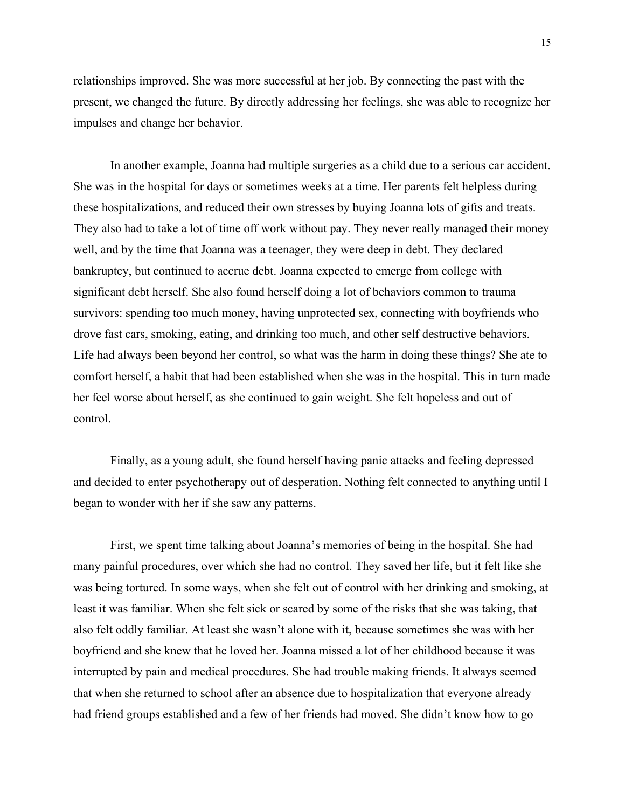relationships improved. She was more successful at her job. By connecting the past with the present, we changed the future. By directly addressing her feelings, she was able to recognize her impulses and change her behavior.

In another example, Joanna had multiple surgeries as a child due to a serious car accident. She was in the hospital for days or sometimes weeks at a time. Her parents felt helpless during these hospitalizations, and reduced their own stresses by buying Joanna lots of gifts and treats. They also had to take a lot of time off work without pay. They never really managed their money well, and by the time that Joanna was a teenager, they were deep in debt. They declared bankruptcy, but continued to accrue debt. Joanna expected to emerge from college with significant debt herself. She also found herself doing a lot of behaviors common to trauma survivors: spending too much money, having unprotected sex, connecting with boyfriends who drove fast cars, smoking, eating, and drinking too much, and other self destructive behaviors. Life had always been beyond her control, so what was the harm in doing these things? She ate to comfort herself, a habit that had been established when she was in the hospital. This in turn made her feel worse about herself, as she continued to gain weight. She felt hopeless and out of control.

Finally, as a young adult, she found herself having panic attacks and feeling depressed and decided to enter psychotherapy out of desperation. Nothing felt connected to anything until I began to wonder with her if she saw any patterns.

First, we spent time talking about Joanna's memories of being in the hospital. She had many painful procedures, over which she had no control. They saved her life, but it felt like she was being tortured. In some ways, when she felt out of control with her drinking and smoking, at least it was familiar. When she felt sick or scared by some of the risks that she was taking, that also felt oddly familiar. At least she wasn't alone with it, because sometimes she was with her boyfriend and she knew that he loved her. Joanna missed a lot of her childhood because it was interrupted by pain and medical procedures. She had trouble making friends. It always seemed that when she returned to school after an absence due to hospitalization that everyone already had friend groups established and a few of her friends had moved. She didn't know how to go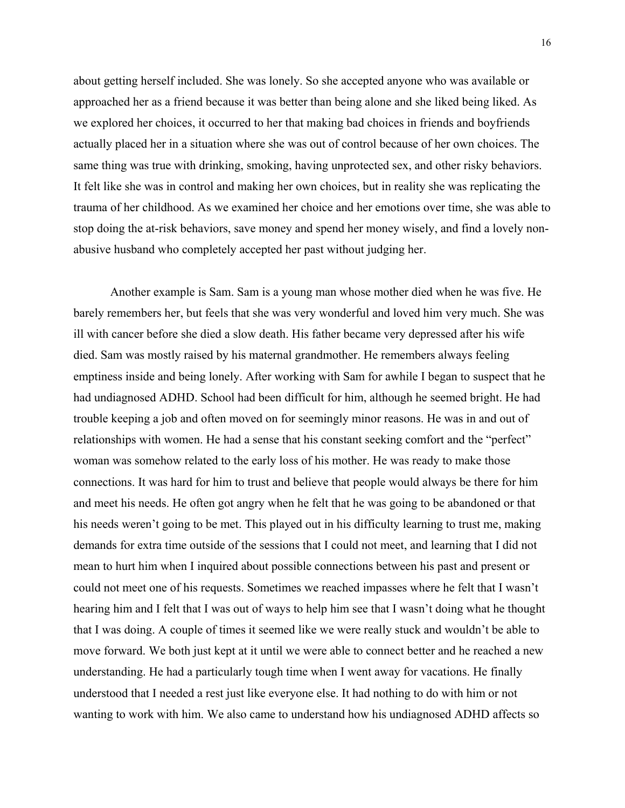about getting herself included. She was lonely. So she accepted anyone who was available or approached her as a friend because it was better than being alone and she liked being liked. As we explored her choices, it occurred to her that making bad choices in friends and boyfriends actually placed her in a situation where she was out of control because of her own choices. The same thing was true with drinking, smoking, having unprotected sex, and other risky behaviors. It felt like she was in control and making her own choices, but in reality she was replicating the trauma of her childhood. As we examined her choice and her emotions over time, she was able to stop doing the at-risk behaviors, save money and spend her money wisely, and find a lovely nonabusive husband who completely accepted her past without judging her.

Another example is Sam. Sam is a young man whose mother died when he was five. He barely remembers her, but feels that she was very wonderful and loved him very much. She was ill with cancer before she died a slow death. His father became very depressed after his wife died. Sam was mostly raised by his maternal grandmother. He remembers always feeling emptiness inside and being lonely. After working with Sam for awhile I began to suspect that he had undiagnosed ADHD. School had been difficult for him, although he seemed bright. He had trouble keeping a job and often moved on for seemingly minor reasons. He was in and out of relationships with women. He had a sense that his constant seeking comfort and the "perfect" woman was somehow related to the early loss of his mother. He was ready to make those connections. It was hard for him to trust and believe that people would always be there for him and meet his needs. He often got angry when he felt that he was going to be abandoned or that his needs weren't going to be met. This played out in his difficulty learning to trust me, making demands for extra time outside of the sessions that I could not meet, and learning that I did not mean to hurt him when I inquired about possible connections between his past and present or could not meet one of his requests. Sometimes we reached impasses where he felt that I wasn't hearing him and I felt that I was out of ways to help him see that I wasn't doing what he thought that I was doing. A couple of times it seemed like we were really stuck and wouldn't be able to move forward. We both just kept at it until we were able to connect better and he reached a new understanding. He had a particularly tough time when I went away for vacations. He finally understood that I needed a rest just like everyone else. It had nothing to do with him or not wanting to work with him. We also came to understand how his undiagnosed ADHD affects so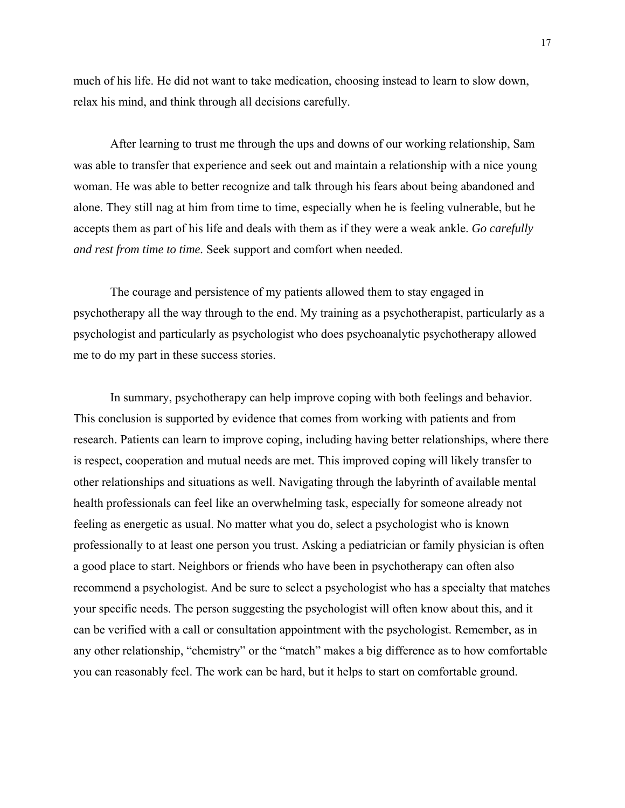much of his life. He did not want to take medication, choosing instead to learn to slow down, relax his mind, and think through all decisions carefully.

After learning to trust me through the ups and downs of our working relationship, Sam was able to transfer that experience and seek out and maintain a relationship with a nice young woman. He was able to better recognize and talk through his fears about being abandoned and alone. They still nag at him from time to time, especially when he is feeling vulnerable, but he accepts them as part of his life and deals with them as if they were a weak ankle. *Go carefully and rest from time to time.* Seek support and comfort when needed.

The courage and persistence of my patients allowed them to stay engaged in psychotherapy all the way through to the end. My training as a psychotherapist, particularly as a psychologist and particularly as psychologist who does psychoanalytic psychotherapy allowed me to do my part in these success stories.

 In summary, psychotherapy can help improve coping with both feelings and behavior. This conclusion is supported by evidence that comes from working with patients and from research. Patients can learn to improve coping, including having better relationships, where there is respect, cooperation and mutual needs are met. This improved coping will likely transfer to other relationships and situations as well. Navigating through the labyrinth of available mental health professionals can feel like an overwhelming task, especially for someone already not feeling as energetic as usual. No matter what you do, select a psychologist who is known professionally to at least one person you trust. Asking a pediatrician or family physician is often a good place to start. Neighbors or friends who have been in psychotherapy can often also recommend a psychologist. And be sure to select a psychologist who has a specialty that matches your specific needs. The person suggesting the psychologist will often know about this, and it can be verified with a call or consultation appointment with the psychologist. Remember, as in any other relationship, "chemistry" or the "match" makes a big difference as to how comfortable you can reasonably feel. The work can be hard, but it helps to start on comfortable ground.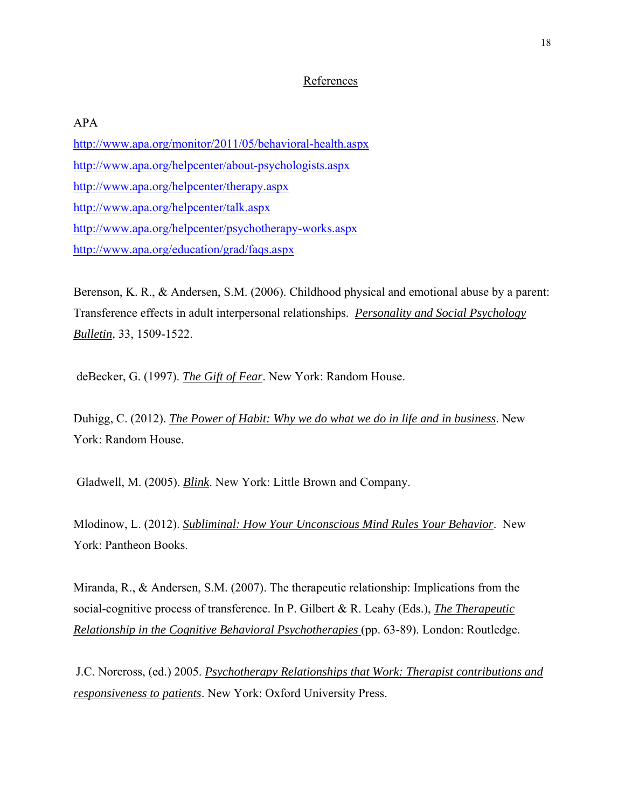## References

# APA

http://www.apa.org/monitor/2011/05/behavioral-health.aspx http://www.apa.org/helpcenter/about-psychologists.aspx http://www.apa.org/helpcenter/therapy.aspx http://www.apa.org/helpcenter/talk.aspx http://www.apa.org/helpcenter/psychotherapy-works.aspx http://www.apa.org/education/grad/faqs.aspx

Berenson, K. R., & Andersen, S.M. (2006). Childhood physical and emotional abuse by a parent: Transference effects in adult interpersonal relationships. *Personality and Social Psychology Bulletin,* 33, 1509-1522.

deBecker, G. (1997). *The Gift of Fear*. New York: Random House.

Duhigg, C. (2012). *The Power of Habit: Why we do what we do in life and in business*. New York: Random House.

Gladwell, M. (2005). *Blink*. New York: Little Brown and Company.

Mlodinow, L. (2012). *Subliminal: How Your Unconscious Mind Rules Your Behavior*. New York: Pantheon Books.

Miranda, R., & Andersen, S.M. (2007). The therapeutic relationship: Implications from the social-cognitive process of transference. In P. Gilbert & R. Leahy (Eds.), *The Therapeutic Relationship in the Cognitive Behavioral Psychotherapies* (pp. 63-89). London: Routledge.

J.C. Norcross, (ed.) 2005. *Psychotherapy Relationships that Work: Therapist contributions and responsiveness to patients*. New York: Oxford University Press.